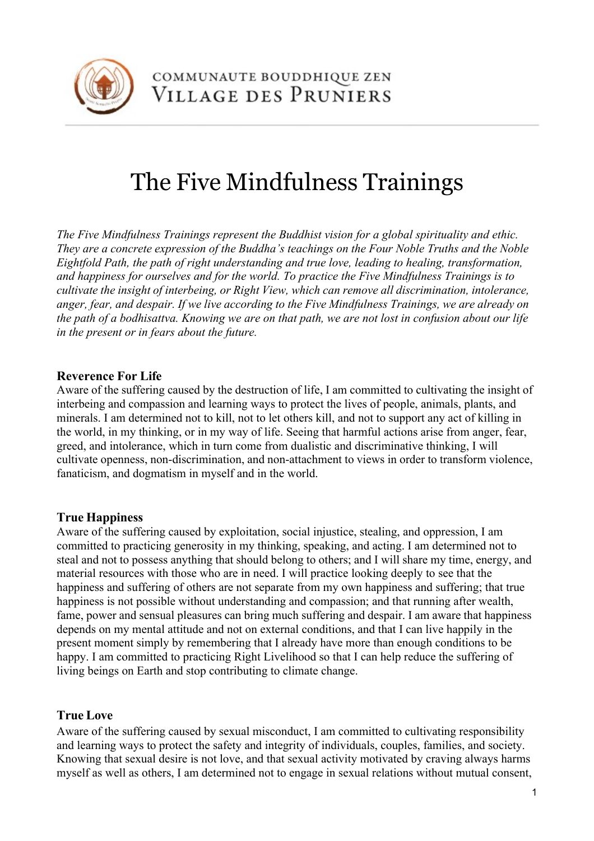

# The Five Mindfulness Trainings

*The Five Mindfulness Trainings represent the Buddhist vision for a global spirituality and ethic. They are a concrete expression of the Buddha's teachings on the Four Noble Truths and the Noble Eightfold Path, the path of right understanding and true love, leading to healing, transformation, and happiness for ourselves and for the world. To practice the Five Mindfulness Trainings is to cultivate the insight of interbeing, or Right View, which can remove all discrimination, intolerance, anger, fear, and despair. If we live according to the Five Mindfulness Trainings, we are already on the path of a bodhisattva. Knowing we are on that path, we are not lost in confusion about our life in the present or in fears about the future.*

### **Reverence For Life**

Aware of the suffering caused by the destruction of life, I am committed to cultivating the insight of interbeing and compassion and learning ways to protect the lives of people, animals, plants, and minerals. I am determined not to kill, not to let others kill, and not to support any act of killing in the world, in my thinking, or in my way of life. Seeing that harmful actions arise from anger, fear, greed, and intolerance, which in turn come from dualistic and discriminative thinking, I will cultivate openness, non-discrimination, and non-attachment to views in order to transform violence, fanaticism, and dogmatism in myself and in the world.

# **True Happiness**

Aware of the suffering caused by exploitation, social injustice, stealing, and oppression, I am committed to practicing generosity in my thinking, speaking, and acting. I am determined not to steal and not to possess anything that should belong to others; and I will share my time, energy, and material resources with those who are in need. I will practice looking deeply to see that the happiness and suffering of others are not separate from my own happiness and suffering; that true happiness is not possible without understanding and compassion; and that running after wealth, fame, power and sensual pleasures can bring much suffering and despair. I am aware that happiness depends on my mental attitude and not on external conditions, and that I can live happily in the present moment simply by remembering that I already have more than enough conditions to be happy. I am committed to practicing Right Livelihood so that I can help reduce the suffering of living beings on Earth and stop contributing to climate change.

# **True Love**

Aware of the suffering caused by sexual misconduct, I am committed to cultivating responsibility and learning ways to protect the safety and integrity of individuals, couples, families, and society. Knowing that sexual desire is not love, and that sexual activity motivated by craving always harms myself as well as others, I am determined not to engage in sexual relations without mutual consent,